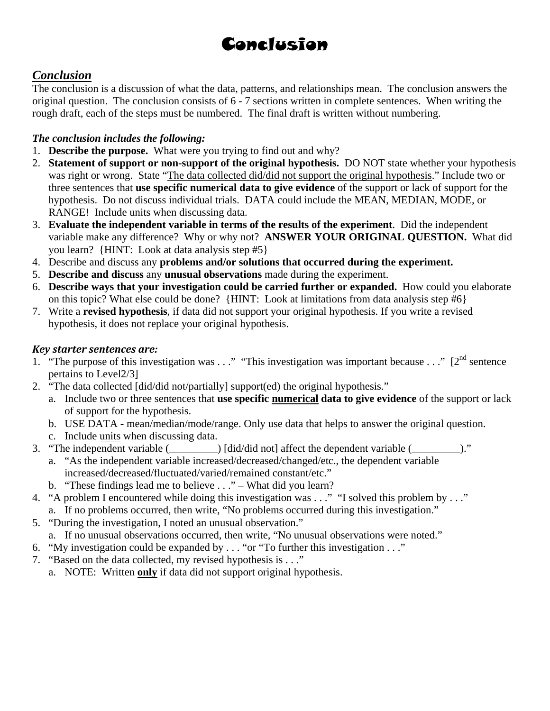# Conclusion

## *Conclusion*

The conclusion is a discussion of what the data, patterns, and relationships mean. The conclusion answers the original question. The conclusion consists of 6 - 7 sections written in complete sentences. When writing the rough draft, each of the steps must be numbered. The final draft is written without numbering.

#### *The conclusion includes the following:*

- 1. **Describe the purpose.** What were you trying to find out and why?
- 2. **Statement of support or non-support of the original hypothesis.** DO NOT state whether your hypothesis was right or wrong. State "The data collected did/did not support the original hypothesis." Include two or three sentences that **use specific numerical data to give evidence** of the support or lack of support for the hypothesis. Do not discuss individual trials. DATA could include the MEAN, MEDIAN, MODE, or RANGE! Include units when discussing data.
- 3. **Evaluate the independent variable in terms of the results of the experiment**. Did the independent variable make any difference? Why or why not? **ANSWER YOUR ORIGINAL QUESTION.** What did you learn? {HINT: Look at data analysis step #5}
- 4. Describe and discuss any **problems and/or solutions that occurred during the experiment.**
- 5. **Describe and discuss** any **unusual observations** made during the experiment.
- 6. **Describe ways that your investigation could be carried further or expanded.** How could you elaborate on this topic? What else could be done? {HINT: Look at limitations from data analysis step #6}
- 7. Write a **revised hypothesis**, if data did not support your original hypothesis. If you write a revised hypothesis, it does not replace your original hypothesis.

#### *Key starter sentences are:*

- 1. "The purpose of this investigation was . . ." "This investigation was important because . . ." [2<sup>nd</sup> sentence pertains to Level2/3]
- 2. "The data collected [did/did not/partially] support(ed) the original hypothesis."
	- a. Include two or three sentences that **use specific numerical data to give evidence** of the support or lack of support for the hypothesis.
	- b. USE DATA mean/median/mode/range. Only use data that helps to answer the original question.
	- c. Include units when discussing data.
- 3. "The independent variable (\_\_\_\_\_\_\_\_\_) [did/did not] affect the dependent variable (\_\_\_\_\_\_\_\_\_)."
	- a. "As the independent variable increased/decreased/changed/etc., the dependent variable increased/decreased/fluctuated/varied/remained constant/etc."
	- b. "These findings lead me to believe . . ." What did you learn?
- 4. "A problem I encountered while doing this investigation was . . ." "I solved this problem by . . ."
	- a. If no problems occurred, then write, "No problems occurred during this investigation."
- 5. "During the investigation, I noted an unusual observation."
	- a. If no unusual observations occurred, then write, "No unusual observations were noted."
- 6. "My investigation could be expanded by . . . "or "To further this investigation . . ."
- 7. "Based on the data collected, my revised hypothesis is . . ."
	- a. NOTE: Written **only** if data did not support original hypothesis.